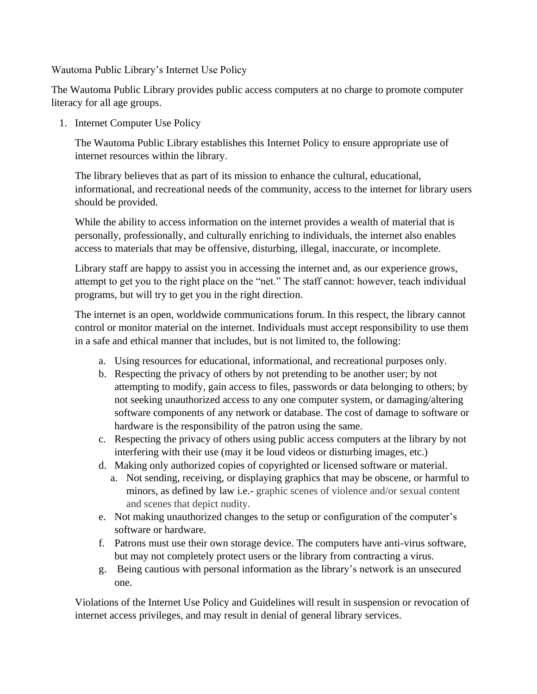Wautoma Public Library's Internet Use Policy

The Wautoma Public Library provides public access computers at no charge to promote computer literacy for all age groups.

1. Internet Computer Use Policy

The Wautoma Public Library establishes this Internet Policy to ensure appropriate use of internet resources within the library.

The library believes that as part of its mission to enhance the cultural, educational, informational, and recreational needs of the community, access to the internet for library users should be provided.

While the ability to access information on the internet provides a wealth of material that is personally, professionally, and culturally enriching to individuals, the internet also enables access to materials that may be offensive, disturbing, illegal, inaccurate, or incomplete.

Library staff are happy to assist you in accessing the internet and, as our experience grows, attempt to get you to the right place on the "net." The staff cannot: however, teach individual programs, but will try to get you in the right direction.

The internet is an open, worldwide communications forum. In this respect, the library cannot control or monitor material on the internet. Individuals must accept responsibility to use them in a safe and ethical manner that includes, but is not limited to, the following:

- a. Using resources for educational, informational, and recreational purposes only.
- b. Respecting the privacy of others by not pretending to be another user; by not attempting to modify, gain access to files, passwords or data belonging to others; by not seeking unauthorized access to any one computer system, or damaging/altering software components of any network or database. The cost of damage to software or hardware is the responsibility of the patron using the same.
- c. Respecting the privacy of others using public access computers at the library by not interfering with their use (may it be loud videos or disturbing images, etc.)
- d. Making only authorized copies of copyrighted or licensed software or material.
	- a. Not sending, receiving, or displaying graphics that may be obscene, or harmful to minors, as defined by law i.e.- graphic scenes of violence and/or sexual content and scenes that depict nudity.
- e. Not making unauthorized changes to the setup or configuration of the computer's software or hardware.
- f. Patrons must use their own storage device. The computers have anti-virus software, but may not completely protect users or the library from contracting a virus.
- g. Being cautious with personal information as the library's network is an unsecured one.

Violations of the Internet Use Policy and Guidelines will result in suspension or revocation of internet access privileges, and may result in denial of general library services.